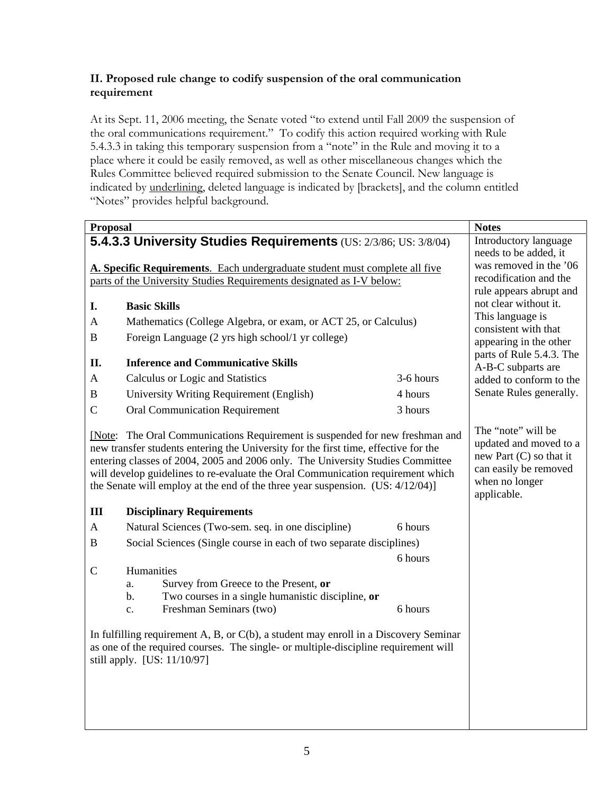## **II. Proposed rule change to codify suspension of the oral communication requirement**

At its Sept. 11, 2006 meeting, the Senate voted "to extend until Fall 2009 the suspension of the oral communications requirement." To codify this action required working with Rule 5.4.3.3 in taking this temporary suspension from a "note" in the Rule and moving it to a place where it could be easily removed, as well as other miscellaneous changes which the Rules Committee believed required submission to the Senate Council. New language is indicated by underlining, deleted language is indicated by [brackets], and the column entitled "Notes" provides helpful background.

| <b>Proposal</b>                                                                                                                                                                                               |                                                                                                                                                                                                                                                                                                                                                                                                                            | <b>Notes</b>                                                                                                                        |                                           |
|---------------------------------------------------------------------------------------------------------------------------------------------------------------------------------------------------------------|----------------------------------------------------------------------------------------------------------------------------------------------------------------------------------------------------------------------------------------------------------------------------------------------------------------------------------------------------------------------------------------------------------------------------|-------------------------------------------------------------------------------------------------------------------------------------|-------------------------------------------|
| 5.4.3.3 University Studies Requirements (US: 2/3/86; US: 3/8/04)                                                                                                                                              |                                                                                                                                                                                                                                                                                                                                                                                                                            |                                                                                                                                     | Introductory language                     |
|                                                                                                                                                                                                               |                                                                                                                                                                                                                                                                                                                                                                                                                            |                                                                                                                                     | needs to be added, it                     |
| A. Specific Requirements. Each undergraduate student must complete all five                                                                                                                                   |                                                                                                                                                                                                                                                                                                                                                                                                                            |                                                                                                                                     | was removed in the '06                    |
| parts of the University Studies Requirements designated as I-V below:                                                                                                                                         |                                                                                                                                                                                                                                                                                                                                                                                                                            |                                                                                                                                     | recodification and the                    |
|                                                                                                                                                                                                               |                                                                                                                                                                                                                                                                                                                                                                                                                            |                                                                                                                                     | rule appears abrupt and                   |
| I.                                                                                                                                                                                                            | <b>Basic Skills</b>                                                                                                                                                                                                                                                                                                                                                                                                        |                                                                                                                                     | not clear without it.<br>This language is |
| A                                                                                                                                                                                                             | Mathematics (College Algebra, or exam, or ACT 25, or Calculus)                                                                                                                                                                                                                                                                                                                                                             |                                                                                                                                     | consistent with that                      |
| B                                                                                                                                                                                                             | Foreign Language (2 yrs high school/1 yr college)                                                                                                                                                                                                                                                                                                                                                                          |                                                                                                                                     | appearing in the other                    |
|                                                                                                                                                                                                               |                                                                                                                                                                                                                                                                                                                                                                                                                            |                                                                                                                                     | parts of Rule 5.4.3. The                  |
| П.                                                                                                                                                                                                            | <b>Inference and Communicative Skills</b>                                                                                                                                                                                                                                                                                                                                                                                  |                                                                                                                                     | A-B-C subparts are                        |
| A                                                                                                                                                                                                             | Calculus or Logic and Statistics                                                                                                                                                                                                                                                                                                                                                                                           | 3-6 hours                                                                                                                           | added to conform to the                   |
| $\, {\bf B}$                                                                                                                                                                                                  | University Writing Requirement (English)                                                                                                                                                                                                                                                                                                                                                                                   | 4 hours                                                                                                                             | Senate Rules generally.                   |
| $\mathcal{C}$                                                                                                                                                                                                 | <b>Oral Communication Requirement</b>                                                                                                                                                                                                                                                                                                                                                                                      | 3 hours                                                                                                                             |                                           |
|                                                                                                                                                                                                               | [Note: The Oral Communications Requirement is suspended for new freshman and<br>new transfer students entering the University for the first time, effective for the<br>entering classes of 2004, 2005 and 2006 only. The University Studies Committee<br>will develop guidelines to re-evaluate the Oral Communication requirement which<br>the Senate will employ at the end of the three year suspension. (US: 4/12/04)] | The "note" will be<br>updated and moved to a<br>new Part $(C)$ so that it<br>can easily be removed<br>when no longer<br>applicable. |                                           |
| III                                                                                                                                                                                                           | <b>Disciplinary Requirements</b>                                                                                                                                                                                                                                                                                                                                                                                           |                                                                                                                                     |                                           |
| $\mathbf{A}$                                                                                                                                                                                                  | Natural Sciences (Two-sem. seq. in one discipline)                                                                                                                                                                                                                                                                                                                                                                         | 6 hours                                                                                                                             |                                           |
| $\, {\bf B}$                                                                                                                                                                                                  | Social Sciences (Single course in each of two separate disciplines)                                                                                                                                                                                                                                                                                                                                                        |                                                                                                                                     |                                           |
|                                                                                                                                                                                                               |                                                                                                                                                                                                                                                                                                                                                                                                                            | 6 hours                                                                                                                             |                                           |
| $\mathsf{C}$                                                                                                                                                                                                  | Humanities<br>Survey from Greece to the Present, or<br>a.<br>Two courses in a single humanistic discipline, or<br>$b$ .<br>Freshman Seminars (two)<br>c.                                                                                                                                                                                                                                                                   | 6 hours                                                                                                                             |                                           |
| In fulfilling requirement A, B, or $C(b)$ , a student may enroll in a Discovery Seminar<br>as one of the required courses. The single- or multiple-discipline requirement will<br>still apply. [US: 11/10/97] |                                                                                                                                                                                                                                                                                                                                                                                                                            |                                                                                                                                     |                                           |